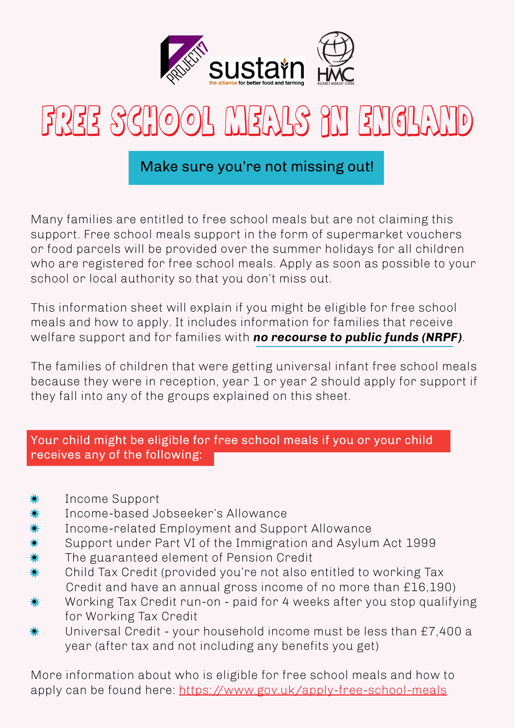

## FREE SCHOOL MEALS IN ENGLA

## Make sure you're not missing out!

Many families are entitled to free school meals but are not claiming this support. Free school meals support in the form of supermarket vouchers or food parcels will be provided over the summer holidays for all children who are registered for free school meals. Apply as soon as possible to your school or local authority so that you don't miss out.

This information sheet will explain if you might be eligible for free school meals and how to apply. It includes information for families that receive welfare support and for families with *no recourse to public funds (NRPF)*.

The families of children that were getting universal infant free school meals because they were in reception, year 1 or year 2 should apply for support if they fall into any of the groups explained on this sheet.

## Your child might be eligible for free school meals if you or your child receives any of the following:

- Income Support
- Income-based Jobseeker's Allowance
- Income-related Employment and Support Allowance
- Support under Part VI of the Immigration and Asylum Act 1999
- The guaranteed element of Pension Credit
- Child Tax Credit (provided you're not also entitled to working Tax Credit and have an annual gross income of no more than £16,190)
- Working Tax Credit run-on paid for 4 weeks after you stop qualifying for Working Tax Credit
- Universal Credit your household income must be less than £7,400 a year (after tax and not including any benefits you get)

More information about who is eligible for free school meals and how to apply can be found here: https://www.gov.uk/apply-free-school-meals